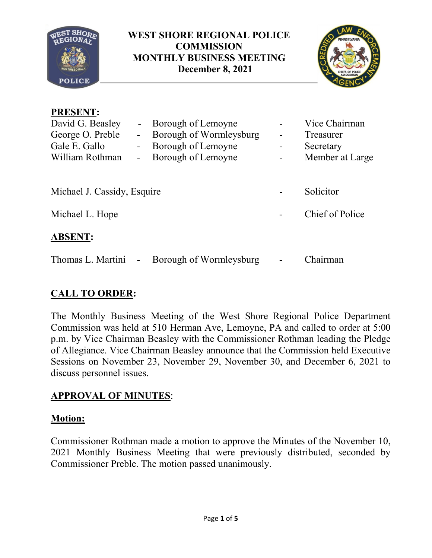

### **WEST SHORE REGIONAL POLICE COMMISSION MONTHLY BUSINESS MEETING December 8, 2021**



# **PRESENT:**

| David G. Beasley<br>George O. Preble<br>Gale E. Gallo<br>William Rothman | Borough of Lemoyne<br>Borough of Wormleysburg<br>-<br>Borough of Lemoyne<br>Borough of Lemoyne<br>- |  | Vice Chairman<br>Treasurer<br>Secretary<br>Member at Large |
|--------------------------------------------------------------------------|-----------------------------------------------------------------------------------------------------|--|------------------------------------------------------------|
| Michael J. Cassidy, Esquire                                              |                                                                                                     |  | Solicitor                                                  |
| Michael L. Hope                                                          |                                                                                                     |  | Chief of Police                                            |
| <b>ABSENT:</b>                                                           |                                                                                                     |  |                                                            |
| Thomas L. Martini                                                        | Borough of Wormleysburg<br>$\blacksquare$                                                           |  | Chairman                                                   |

# **CALL TO ORDER:**

The Monthly Business Meeting of the West Shore Regional Police Department Commission was held at 510 Herman Ave, Lemoyne, PA and called to order at 5:00 p.m. by Vice Chairman Beasley with the Commissioner Rothman leading the Pledge of Allegiance. Vice Chairman Beasley announce that the Commission held Executive Sessions on November 23, November 29, November 30, and December 6, 2021 to discuss personnel issues.

# **APPROVAL OF MINUTES**:

### **Motion:**

Commissioner Rothman made a motion to approve the Minutes of the November 10, 2021 Monthly Business Meeting that were previously distributed, seconded by Commissioner Preble. The motion passed unanimously.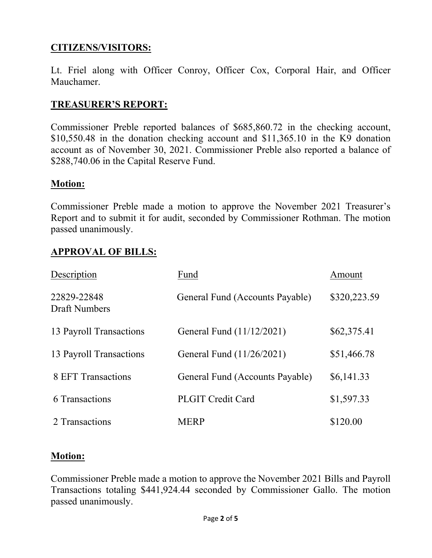## **CITIZENS/VISITORS:**

Lt. Friel along with Officer Conroy, Officer Cox, Corporal Hair, and Officer Mauchamer.

### **TREASURER'S REPORT:**

Commissioner Preble reported balances of \$685,860.72 in the checking account, \$10,550.48 in the donation checking account and \$11,365.10 in the K9 donation account as of November 30, 2021. Commissioner Preble also reported a balance of \$288,740.06 in the Capital Reserve Fund.

#### **Motion:**

Commissioner Preble made a motion to approve the November 2021 Treasurer's Report and to submit it for audit, seconded by Commissioner Rothman. The motion passed unanimously.

#### **APPROVAL OF BILLS:**

| Description                         | Fund                            | Amount       |
|-------------------------------------|---------------------------------|--------------|
| 22829-22848<br><b>Draft Numbers</b> | General Fund (Accounts Payable) | \$320,223.59 |
| 13 Payroll Transactions             | General Fund (11/12/2021)       | \$62,375.41  |
| 13 Payroll Transactions             | General Fund (11/26/2021)       | \$51,466.78  |
| 8 EFT Transactions                  | General Fund (Accounts Payable) | \$6,141.33   |
| 6 Transactions                      | <b>PLGIT Credit Card</b>        | \$1,597.33   |
| 2 Transactions                      | <b>MERP</b>                     | \$120.00     |

#### **Motion:**

Commissioner Preble made a motion to approve the November 2021 Bills and Payroll Transactions totaling \$441,924.44 seconded by Commissioner Gallo. The motion passed unanimously.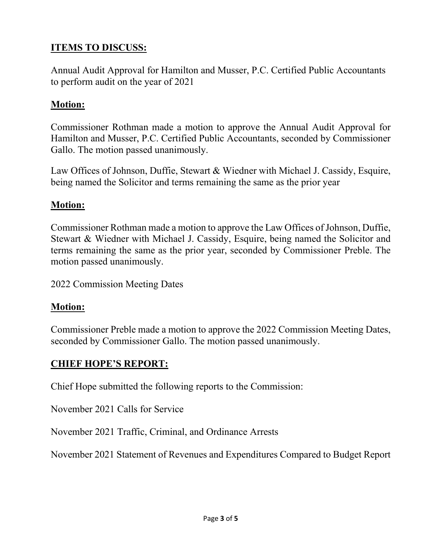# **ITEMS TO DISCUSS:**

Annual Audit Approval for Hamilton and Musser, P.C. Certified Public Accountants to perform audit on the year of 2021

### **Motion:**

Commissioner Rothman made a motion to approve the Annual Audit Approval for Hamilton and Musser, P.C. Certified Public Accountants, seconded by Commissioner Gallo. The motion passed unanimously.

Law Offices of Johnson, Duffie, Stewart & Wiedner with Michael J. Cassidy, Esquire, being named the Solicitor and terms remaining the same as the prior year

#### **Motion:**

Commissioner Rothman made a motion to approve the Law Offices of Johnson, Duffie, Stewart & Wiedner with Michael J. Cassidy, Esquire, being named the Solicitor and terms remaining the same as the prior year, seconded by Commissioner Preble. The motion passed unanimously.

2022 Commission Meeting Dates

#### **Motion:**

Commissioner Preble made a motion to approve the 2022 Commission Meeting Dates, seconded by Commissioner Gallo. The motion passed unanimously.

#### **CHIEF HOPE'S REPORT:**

Chief Hope submitted the following reports to the Commission:

November 2021 Calls for Service

November 2021 Traffic, Criminal, and Ordinance Arrests

November 2021 Statement of Revenues and Expenditures Compared to Budget Report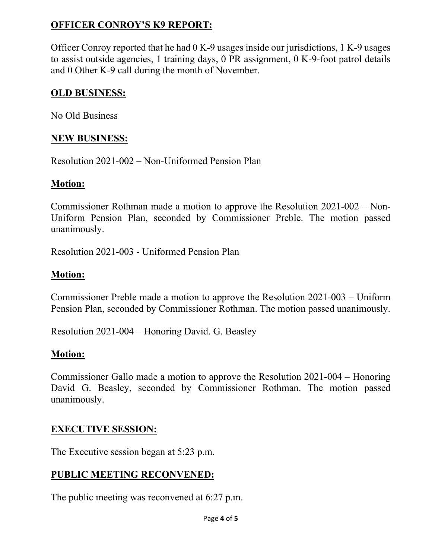# **OFFICER CONROY'S K9 REPORT:**

Officer Conroy reported that he had 0 K-9 usages inside our jurisdictions, 1 K-9 usages to assist outside agencies, 1 training days, 0 PR assignment, 0 K-9-foot patrol details and 0 Other K-9 call during the month of November.

## **OLD BUSINESS:**

No Old Business

## **NEW BUSINESS:**

Resolution 2021-002 – Non-Uniformed Pension Plan

## **Motion:**

Commissioner Rothman made a motion to approve the Resolution 2021-002 – Non-Uniform Pension Plan, seconded by Commissioner Preble. The motion passed unanimously.

Resolution 2021-003 - Uniformed Pension Plan

## **Motion:**

Commissioner Preble made a motion to approve the Resolution 2021-003 – Uniform Pension Plan, seconded by Commissioner Rothman. The motion passed unanimously.

Resolution 2021-004 – Honoring David. G. Beasley

# **Motion:**

Commissioner Gallo made a motion to approve the Resolution 2021-004 – Honoring David G. Beasley, seconded by Commissioner Rothman. The motion passed unanimously.

# **EXECUTIVE SESSION:**

The Executive session began at 5:23 p.m.

# **PUBLIC MEETING RECONVENED:**

The public meeting was reconvened at 6:27 p.m.